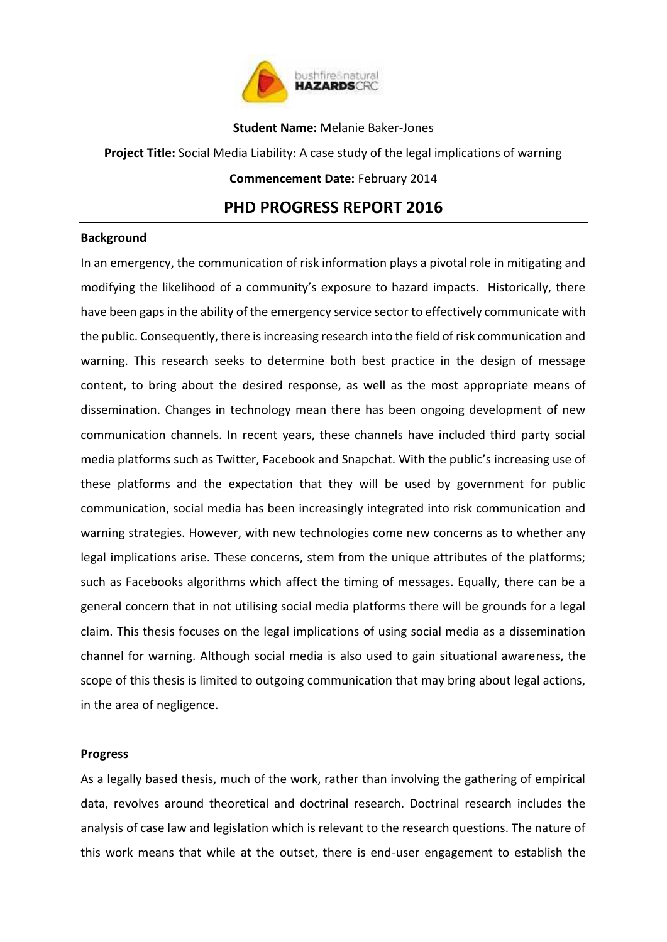

## **Student Name:** Melanie Baker-Jones

**Project Title:** Social Media Liability: A case study of the legal implications of warning

**Commencement Date:** February 2014

## **PHD PROGRESS REPORT 2016**

## **Background**

In an emergency, the communication of risk information plays a pivotal role in mitigating and modifying the likelihood of a community's exposure to hazard impacts. Historically, there have been gaps in the ability of the emergency service sector to effectively communicate with the public. Consequently, there is increasing research into the field of risk communication and warning. This research seeks to determine both best practice in the design of message content, to bring about the desired response, as well as the most appropriate means of dissemination. Changes in technology mean there has been ongoing development of new communication channels. In recent years, these channels have included third party social media platforms such as Twitter, Facebook and Snapchat. With the public's increasing use of these platforms and the expectation that they will be used by government for public communication, social media has been increasingly integrated into risk communication and warning strategies. However, with new technologies come new concerns as to whether any legal implications arise. These concerns, stem from the unique attributes of the platforms; such as Facebooks algorithms which affect the timing of messages. Equally, there can be a general concern that in not utilising social media platforms there will be grounds for a legal claim. This thesis focuses on the legal implications of using social media as a dissemination channel for warning. Although social media is also used to gain situational awareness, the scope of this thesis is limited to outgoing communication that may bring about legal actions, in the area of negligence.

## **Progress**

As a legally based thesis, much of the work, rather than involving the gathering of empirical data, revolves around theoretical and doctrinal research. Doctrinal research includes the analysis of case law and legislation which is relevant to the research questions. The nature of this work means that while at the outset, there is end-user engagement to establish the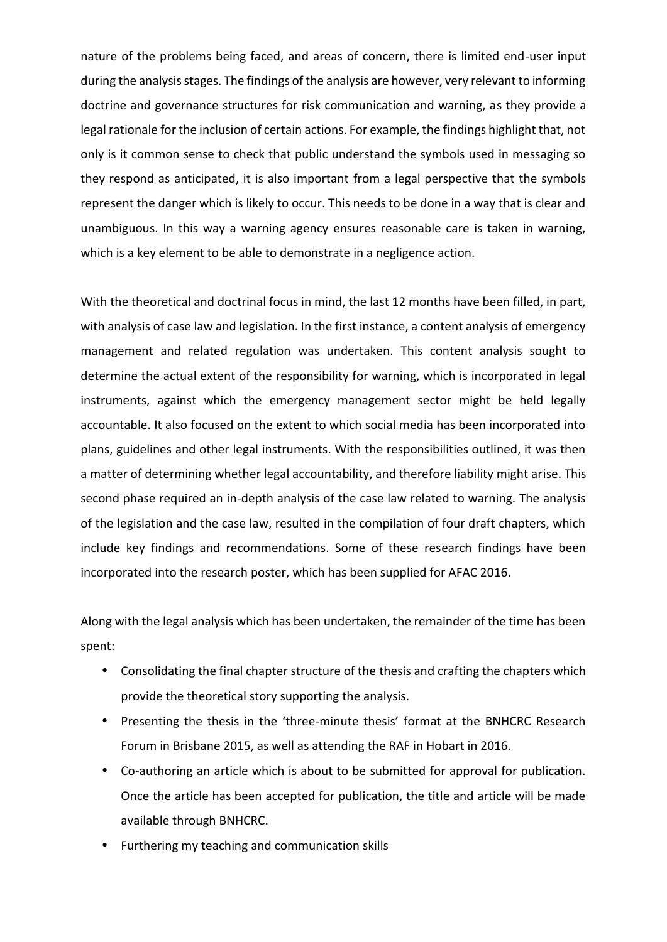nature of the problems being faced, and areas of concern, there is limited end-user input during the analysis stages. The findings of the analysis are however, very relevant to informing doctrine and governance structures for risk communication and warning, as they provide a legal rationale for the inclusion of certain actions. For example, the findings highlight that, not only is it common sense to check that public understand the symbols used in messaging so they respond as anticipated, it is also important from a legal perspective that the symbols represent the danger which is likely to occur. This needs to be done in a way that is clear and unambiguous. In this way a warning agency ensures reasonable care is taken in warning, which is a key element to be able to demonstrate in a negligence action.

With the theoretical and doctrinal focus in mind, the last 12 months have been filled, in part, with analysis of case law and legislation. In the first instance, a content analysis of emergency management and related regulation was undertaken. This content analysis sought to determine the actual extent of the responsibility for warning, which is incorporated in legal instruments, against which the emergency management sector might be held legally accountable. It also focused on the extent to which social media has been incorporated into plans, guidelines and other legal instruments. With the responsibilities outlined, it was then a matter of determining whether legal accountability, and therefore liability might arise. This second phase required an in-depth analysis of the case law related to warning. The analysis of the legislation and the case law, resulted in the compilation of four draft chapters, which include key findings and recommendations. Some of these research findings have been incorporated into the research poster, which has been supplied for AFAC 2016.

Along with the legal analysis which has been undertaken, the remainder of the time has been spent:

- Consolidating the final chapter structure of the thesis and crafting the chapters which provide the theoretical story supporting the analysis.
- Presenting the thesis in the 'three-minute thesis' format at the BNHCRC Research Forum in Brisbane 2015, as well as attending the RAF in Hobart in 2016.
- Co-authoring an article which is about to be submitted for approval for publication. Once the article has been accepted for publication, the title and article will be made available through BNHCRC.
- Furthering my teaching and communication skills